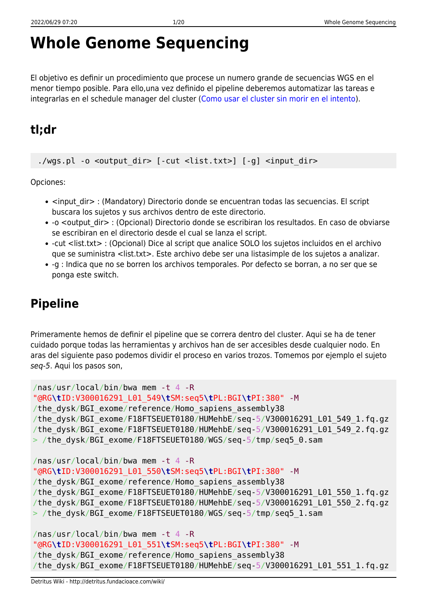# **Whole Genome Sequencing**

El objetivo es definir un procedimiento que procese un numero grande de secuencias WGS en el menor tiempo posible. Para ello,una vez definido el pipeline deberemos automatizar las tareas e integrarlas en el schedule manager del cluster ([Como usar el cluster sin morir en el intento\)](http://detritus.fundacioace.com/wiki/doku.php?id=cluster).

# **tl;dr**

./wgs.pl -o <output dir> [-cut <list.txt>] [-g] <input dir>

Opciones:

- <input dir> : (Mandatory) Directorio donde se encuentran todas las secuencias. El script buscara los sujetos y sus archivos dentro de este directorio.
- -o <output dir> : (Opcional) Directorio donde se escribiran los resultados. En caso de obviarse se escribiran en el directorio desde el cual se lanza el script.
- -cut <list.txt> : (Opcional) Dice al script que analice SOLO los sujetos incluidos en el archivo que se suministra <list.txt>. Este archivo debe ser una listasimple de los sujetos a analizar.
- -g : Indica que no se borren los archivos temporales. Por defecto se borran, a no ser que se ponga este switch.

# **Pipeline**

Primeramente hemos de definir el pipeline que se correra dentro del cluster. Aqui se ha de tener cuidado porque todas las herramientas y archivos han de ser accesibles desde cualquier nodo. En aras del siguiente paso podemos dividir el proceso en varios trozos. Tomemos por ejemplo el sujeto seq-5. Aqui los pasos son,

```
/nas/usr/local/bin/bwa mem -t 4 -R
"@RG\tID:V300016291_L01_549\tSM:seq5\tPL:BGI\tPI:380" -M
/the_dysk/BGI_exome/reference/Homo_sapiens_assembly38
/the_dysk/BGI_exome/F18FTSEUET0180/HUMehbE/seq-5/V300016291_L01_549_1.fq.gz
/the_dysk/BGI_exome/F18FTSEUET0180/HUMehbE/seq-5/V300016291_L01_549_2.fq.gz
> /the dysk/BGI exome/F18FTSEUET0180/WGS/seq-5/tmp/seq5 0.sam
/nas/usr/local/bin/bwa mem -t 4 -R
"@RG\tID:V300016291_L01_550\tSM:seq5\tPL:BGI\tPI:380" -M
/the_dysk/BGI_exome/reference/Homo_sapiens_assembly38
/the_dysk/BGI_exome/F18FTSEUET0180/HUMehbE/seq-5/V300016291_L01_550_1.fq.gz
/the_dysk/BGI_exome/F18FTSEUET0180/HUMehbE/seq-5/V300016291_L01_550_2.fq.gz
> /the_dysk/BGI_exome/F18FTSEUET0180/WGS/seq-5/tmp/seq5_1.sam
/nas/usr/local/bin/bwa mem -t 4 -R
```

```
"@RG\tID:V300016291_L01_551\tSM:seq5\tPL:BGI\tPI:380" -M
```

```
/the dysk/BGI exome/reference/Homo sapiens assembly38
```

```
/the dysk/BGI exome/F18FTSEUET0180/HUMehbE/seq-5/V300016291 L01 551 1.fq.gz
```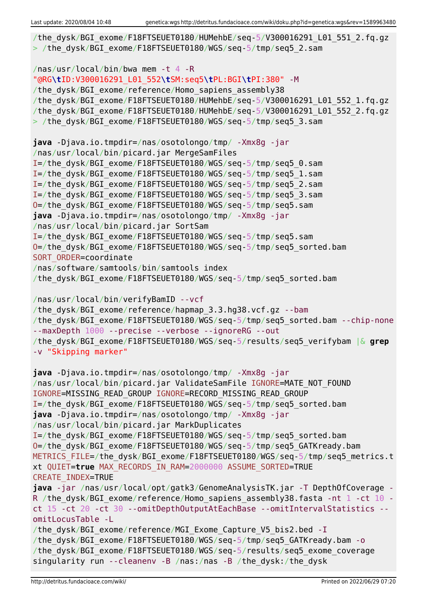```
/the dysk/BGI exome/F18FTSEUET0180/HUMehbE/seq-5/V300016291 L01 551 2.fq.gz
> /the dysk/BGI exome/F18FTSEUET0180/WGS/seq-5/tmp/seq5_2.sam
/nas/usr/local/bin/bwa mem -t 4 -R
"@RG\tID:V300016291_L01_552\tSM:seq5\tPL:BGI\tPI:380" -M
/the dysk/BGI exome/reference/Homo sapiens assembly38
/the_dysk/BGI_exome/F18FTSEUET0180/HUMehbE/seq-5/V300016291_L01_552_1.fq.gz
/the_dysk/BGI_exome/F18FTSEUET0180/HUMehbE/seq-5/V300016291_L01_552_2.fq.gz
> /the dysk/BGI exome/F18FTSEUET0180/WGS/seq-5/tmp/seq5 3.sam
java -Djava.io.tmpdir=/nas/osotolongo/tmp/ -Xmx8g -jar
/nas/usr/local/bin/picard.jar MergeSamFiles
I=/the_dysk/BGI_exome/F18FTSEUET0180/WGS/seq-5/tmp/seq5_0.sam
I=/the_dysk/BGI_exome/F18FTSEUET0180/WGS/seq-5/tmp/seq5_1.sam
I=/the_dysk/BGI_exome/F18FTSEUET0180/WGS/seq-5/tmp/seq5_2.sam
I=/the_dysk/BGI_exome/F18FTSEUET0180/WGS/seq-5/tmp/seq5_3.sam
O=/the_dysk/BGI_exome/F18FTSEUET0180/WGS/seq-5/tmp/seq5.sam
java -Djava.io.tmpdir=/nas/osotolongo/tmp/ -Xmx8g -jar
/nas/usr/local/bin/picard.jar SortSam
I=/the_dysk/BGI_exome/F18FTSEUET0180/WGS/seq-5/tmp/seq5.sam
O=/the_dysk/BGI_exome/F18FTSEUET0180/WGS/seq-5/tmp/seq5_sorted.bam
SORT ORDER=coordinate
/nas/software/samtools/bin/samtools index
/the_dysk/BGI_exome/F18FTSEUET0180/WGS/seq-5/tmp/seq5_sorted.bam
/nas/usr/local/bin/verifyBamID --vcf
/the dysk/BGI exome/reference/hapmap 3.3.hg38.vcf.gz --bam
/the dysk/BGI exome/F18FTSEUET0180/WGS/seq-5/tmp/seq5 sorted.bam --chip-none
--maxDepth 1000 --precise --verbose --ignoreRG --out
/the_dysk/BGI_exome/F18FTSEUET0180/WGS/seq-5/results/seq5_verifybam |& grep
-v "Skipping marker"
java -Djava.io.tmpdir=/nas/osotolongo/tmp/ -Xmx8g -jar
/nas/usr/local/bin/picard.jar ValidateSamFile IGNORE=MATE_NOT_FOUND
IGNORE=MISSING_READ_GROUP IGNORE=RECORD_MISSING_READ_GROUP
I=/the_dysk/BGI_exome/F18FTSEUET0180/WGS/seq-5/tmp/seq5_sorted.bam
java -Djava.io.tmpdir=/nas/osotolongo/tmp/ -Xmx8g -jar
/nas/usr/local/bin/picard.jar MarkDuplicates
I=/the_dysk/BGI_exome/F18FTSEUET0180/WGS/seq-5/tmp/seq5_sorted.bam
O=/the_dysk/BGI_exome/F18FTSEUET0180/WGS/seq-5/tmp/seq5_GATKready.bam
METRICS FILE=/the dysk/BGI exome/F18FTSEUET0180/WGS/seq-5/tmp/seq5 metrics.t
xt QUIET=true MAX_RECORDS_IN_RAM=2000000 ASSUME_SORTED=TRUE
CREATE_INDEX=TRUE
java -jar /nas/usr/local/opt/gatk3/GenomeAnalysisTK.jar -T DepthOfCoverage -
R /the dysk/BGI exome/reference/Homo sapiens assembly38.fasta -nt 1 -ct 10 -
ct 15 -ct 20 -ct 30 --omitDepthOutputAtEachBase --omitIntervalStatistics --
omitLocusTable -L
/the dysk/BGI exome/reference/MGI Exome Capture V5 bis2.bed -I
/the_dysk/BGI_exome/F18FTSEUET0180/WGS/seq-5/tmp/seq5_GATKready.bam -o
/the_dysk/BGI_exome/F18FTSEUET0180/WGS/seq-5/results/seq5_exome_coverage
singularity run --cleanenv -B /nas:/nas -B /the_dysk:/the_dysk
```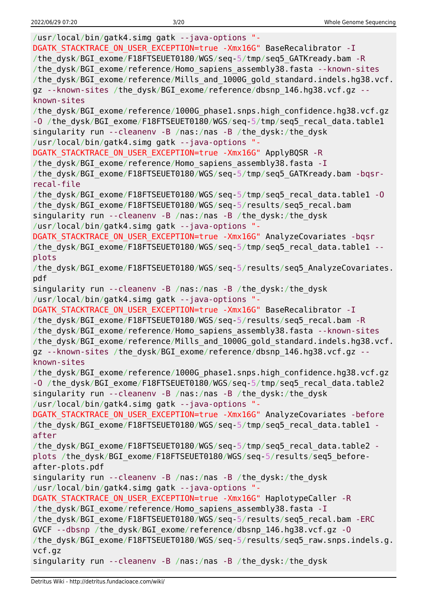/usr/local/bin/gatk4.simg gatk --java-options "- DGATK STACKTRACE ON USER EXCEPTION=true -Xmx16G" BaseRecalibrator -I /the\_dysk/BGI\_exome/F18FTSEUET0180/WGS/seq-5/tmp/seq5\_GATKready.bam -R /the\_dysk/BGI\_exome/reference/Homo\_sapiens\_assembly38.fasta --known-sites /the\_dysk/BGI\_exome/reference/Mills\_and\_1000G\_gold\_standard.indels.hg38.vcf. gz --known-sites /the dysk/BGI exome/reference/dbsnp 146.hg38.vcf.gz -known-sites /the\_dysk/BGI\_exome/reference/1000G\_phase1.snps.high\_confidence.hg38.vcf.gz -O /the dysk/BGI exome/F18FTSEUET0180/WGS/seq-5/tmp/seq5 recal data.table1 singularity run --cleanenv -B /nas:/nas -B /the\_dysk:/the\_dysk /usr/local/bin/gatk4.simg gatk --java-options "- DGATK\_STACKTRACE\_ON\_USER\_EXCEPTION=true -Xmx16G" ApplyBQSR -R /the dysk/BGI exome/reference/Homo sapiens assembly38.fasta -I /the\_dysk/BGI\_exome/F18FTSEUET0180/WGS/seq-5/tmp/seq5\_GATKready.bam -bqsrrecal-file /the\_dysk/BGI\_exome/F18FTSEUET0180/WGS/seq-5/tmp/seq5\_recal\_data.table1 -O /the\_dysk/BGI\_exome/F18FTSEUET0180/WGS/seq-5/results/seq5\_recal.bam singularity run --cleanenv -B /nas:/nas -B /the\_dysk:/the\_dysk /usr/local/bin/gatk4.simg gatk --java-options "- DGATK STACKTRACE ON USER EXCEPTION=true -Xmx16G" AnalyzeCovariates -bqsr /the dysk/BGI exome/F18FTSEUET0180/WGS/seq-5/tmp/seq5\_recal\_data.table1 -plots /the dysk/BGI exome/F18FTSEUET0180/WGS/seq-5/results/seq5 AnalyzeCovariates. pdf singularity run --cleanenv -B /nas:/nas -B /the\_dysk:/the\_dysk /usr/local/bin/gatk4.simg gatk --java-options "- DGATK STACKTRACE ON USER EXCEPTION=true -Xmx16G" BaseRecalibrator -I /the dysk/BGI exome/F18FTSEUET0180/WGS/seq-5/results/seq5 recal.bam -R /the dysk/BGI exome/reference/Homo sapiens assembly38.fasta --known-sites /the\_dysk/BGI\_exome/reference/Mills\_and\_1000G\_gold\_standard.indels.hg38.vcf. gz --known-sites /the dysk/BGI exome/reference/dbsnp 146.hg38.vcf.gz -known-sites /the\_dysk/BGI\_exome/reference/1000G\_phase1.snps.high\_confidence.hg38.vcf.gz -O /the dysk/BGI exome/F18FTSEUET0180/WGS/seq-5/tmp/seq5 recal data.table2 singularity run --cleanenv -B /nas:/nas -B /the\_dysk:/the\_dysk /usr/local/bin/gatk4.simg gatk --java-options "- DGATK STACKTRACE ON USER EXCEPTION=true -Xmx16G" AnalyzeCovariates -before /the dysk/BGI exome/F18FTSEUET0180/WGS/seq-5/tmp/seq5 recal data.table1 after /the\_dysk/BGI\_exome/F18FTSEUET0180/WGS/seq-5/tmp/seq5\_recal\_data.table2 plots /the\_dysk/BGI\_exome/F18FTSEUET0180/WGS/seq-5/results/seq5\_beforeafter-plots.pdf singularity run --cleanenv -B /nas:/nas -B /the\_dysk:/the\_dysk /usr/local/bin/gatk4.simg gatk --java-options "- DGATK STACKTRACE ON USER EXCEPTION=true -Xmx16G" HaplotypeCaller -R /the dysk/BGI exome/reference/Homo sapiens assembly38.fasta -I /the\_dysk/BGI\_exome/F18FTSEUET0180/WGS/seq-5/results/seq5\_recal.bam -ERC GVCF --dbsnp /the\_dysk/BGI\_exome/reference/dbsnp\_146.hg38.vcf.gz -O /the\_dysk/BGI\_exome/F18FTSEUET0180/WGS/seq-5/results/seq5\_raw.snps.indels.g. vcf.gz singularity run --cleanenv -B /nas:/nas -B /the\_dysk:/the\_dysk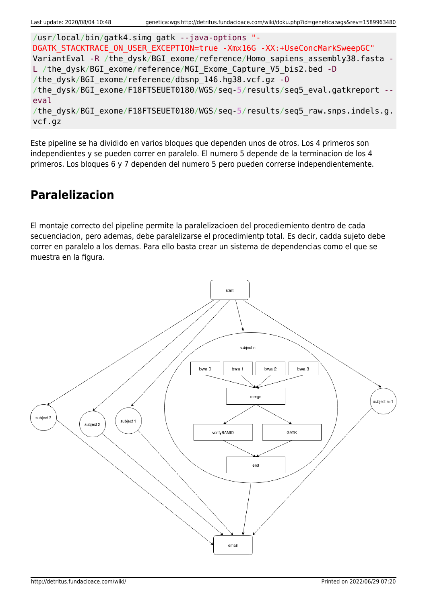```
/usr/local/bin/gatk4.simg gatk --java-options "-
DGATK STACKTRACE ON USER EXCEPTION=true -Xmx16G -XX:+UseConcMarkSweepGC"
VariantEval -R /the dysk/BGI exome/reference/Homo sapiens assembly38.fasta -
L /the dysk/BGI exome/reference/MGI Exome Capture V5 bis2.bed -D
/the_dysk/BGI_exome/reference/dbsnp_146.hg38.vcf.gz -O
/the dysk/BGI exome/F18FTSEUET0180/WGS/seq-5/results/seq5 eval.gatkreport --
eval
/the dysk/BGI exome/F18FTSEUET0180/WGS/seq-5/results/seq5 raw.snps.indels.g.
vcf.gz
```
Este pipeline se ha dividido en varios bloques que dependen unos de otros. Los 4 primeros son independientes y se pueden correr en paralelo. El numero 5 depende de la terminacion de los 4 primeros. Los bloques 6 y 7 dependen del numero 5 pero pueden correrse independientemente.

### **Paralelizacion**

El montaje correcto del pipeline permite la paralelizacioen del procediemiento dentro de cada secuenciacion, pero ademas, debe paralelizarse el procedimientp total. Es decir, cadda sujeto debe correr en paralelo a los demas. Para ello basta crear un sistema de dependencias como el que se muestra en la figura.

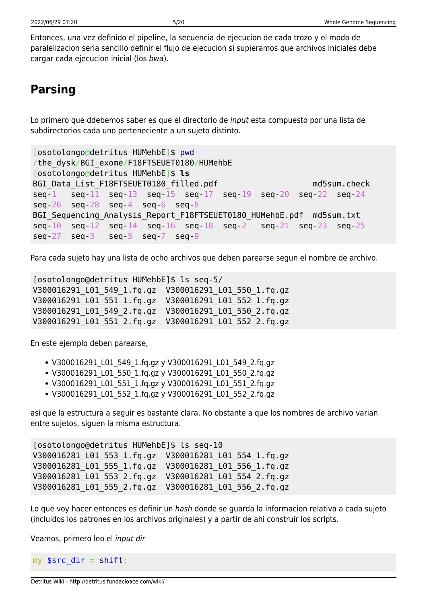Entonces, una vez definido el pipeline, la secuencia de ejecucion de cada trozo y el modo de paralelizacion seria sencillo definir el flujo de ejecucion si supieramos que archivos iniciales debe cargar cada ejecucion inicial (los bwa).

# **Parsing**

Lo primero que ddebemos saber es que el directorio de input esta compuesto por una lista de subdirectorios cada uno perteneciente a un sujeto distinto.

```
[osotolongo@detritus HUMehbE]$ pwd
/the_dysk/BGI_exome/F18FTSEUET0180/HUMehbE
[osotolongo@detritus HUMehbE]$ ls
BGI Data List F18FTSEUET0180 filled.pdf md5sum.check
seq-1 seq-11 seq-13 seq-15 seq-17 seq-19 seq-20 seq-22 seq-24
seq-26 seq-28 seq-4 seq-6 seq-8
BGI Sequencing Analysis Report F18FTSEUET0180 HUMehbE.pdf md5sum.txt
seq-10 seq-12 seq-14 seq-16 seq-18 seq-2 seq-21 seq-23 seq-25
seq-27 seq-3 seq-5 seq-7 seq-9
```
Para cada sujeto hay una lista de ocho archivos que deben parearse segun el nombre de archivo.

[osotolongo@detritus HUMehbE]\$ ls seq-5/ V300016291\_L01\_549\_1.fq.gz V300016291\_L01\_550\_1.fq.gz V300016291\_L01\_551\_1.fq.gz V300016291\_L01\_552\_1.fq.gz V300016291\_L01\_549\_2.fq.gz V300016291\_L01\_550\_2.fq.gz V300016291\_L01\_551\_2.fq.gz V300016291\_L01\_552\_2.fq.gz

En este ejemplo deben parearse,

- V300016291\_L01\_549\_1.fq.gz y V300016291\_L01\_549\_2.fq.gz
- V300016291 L01 550 1.fq.gz y V300016291 L01 550 2.fq.gz
- V300016291 L01 551 1.fq.gz y V300016291 L01 551 2.fq.gz
- V300016291\_L01\_552\_1.fq.gz y V300016291\_L01\_552\_2.fq.gz

asi que la estructura a seguir es bastante clara. No obstante a que los nombres de archivo varian entre sujetos, siguen la misma estructura.

```
[osotolongo@detritus HUMehbE]$ ls seq-10
V300016281_L01_553_1.fq.gz V300016281_L01_554_1.fq.gz
V300016281_L01_555_1.fq.gz V300016281_L01_556_1.fq.gz
V300016281_L01_553_2.fq.gz V300016281_L01_554_2.fq.gz
V300016281_L01_555_2.fq.gz V300016281_L01_556_2.fq.gz
```
Lo que voy hacer entonces es definir un hash donde se quarda la informacion relativa a cada sujeto (incluidos los patrones en los archivos originales) y a partir de ahi construir los scripts.

Veamos, primero leo el input dir

my  $\frac{1}{2}$  src\_dir = [shift;](http://perldoc.perl.org/functions/shift.html)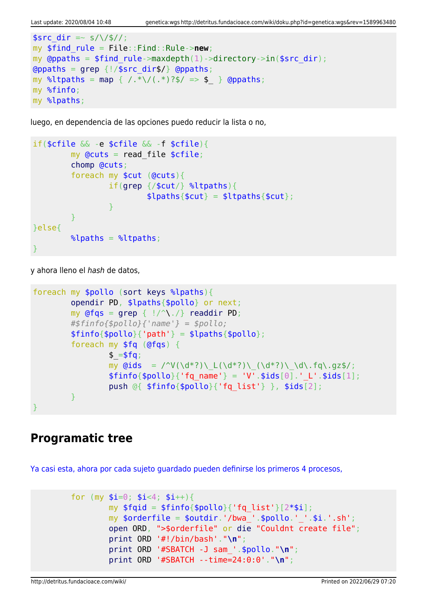```
ssrc dir =~ s/\/$//;
my $find_rule = File::Find::Rule->new;
my @ppaths = $find rule->maxdepth(1)->directory->in(%src dir);\alphagrep {!/$src dir$/} \alpha (appaths;
map { /.*\/(.*)?$/ => $ } @ppaths;
my %finfo;
my %lpaths;
```
luego, en dependencia de las opciones puedo reducir la lista o no,

```
if($cfile && -e $cfile && -f $cfile){
           my Qcuts = read file scfile;
            chomp @cuts;
            foreach my $cut (@cuts){
                        if(grep {/$cut/} %ltpaths){
                                  $lpaths{math;
and the state of the state of the state of the state of the state of the state of the state of the state of the
 }
}else{
           \lambdalpaths = \lambdaltpaths;
}
```
y ahora lleno el hash de datos,

```
foreach my $pollo (sort keys %lpaths){
           opendir PD, $lpaths{$pollo} or next;
          my grep { |}/^{\wedge}\. /readdir PD;
           #$finfo{$pollo}{'name'} = $pollo;
          $finfo{$pollo}{'vab} = $lpaths{$pollo}$; foreach my $fq (@fqs) {
                    $ = $fg;my \text{Gids} = \text{V}(\dagger^*) \left( \frac{d^*?}{d^*?} \right) \left( \frac{d^*?}{d^*?} \right) \cdot \text{d}\cdot\text{fq}\cdot\text{qz}\right);$finfo{}$pollo{}' (fq name' } = 'V'.$ids[0].' L'.$ids[1];
                     push @{ $finfo{$pollo}{'fq_list'} }, $ids[2];
 }
}
```
### **Programatic tree**

[Ya casi esta, ahora por cada sujeto guardado pueden definirse los primeros 4 procesos,](#page--1-0)

```
for (my $i=0; $i<4; $i++}{
        my $fqid = $finfo{$pollo}{'rq list'}[2*si]; my $orderfile = $outdir.'/bwa_'.$pollo.'_'.$i.'.sh';
         open ORD, ">$orderfile" or die "Couldnt create file";
         print ORD '#!/bin/bash'."\n";
         print ORD '#SBATCH -J sam_'.$pollo."\n";
         print ORD '#SBATCH --time=24:0:0'."\n";
```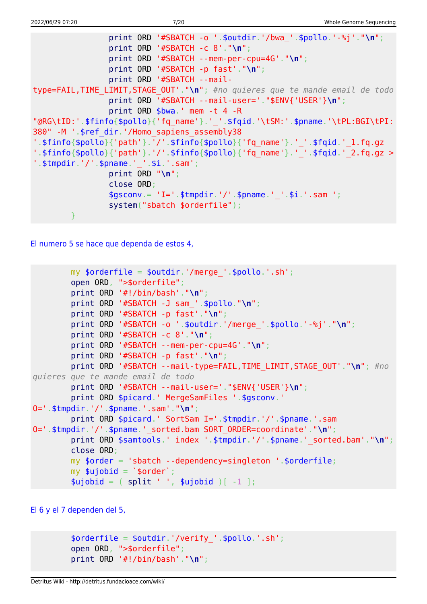```
 print ORD '#SBATCH -o '.$outdir.'/bwa_'.$pollo.'-%j'."\n";
                 print ORD '#SBATCH -c 8'."\n";
                 print ORD '#SBATCH --mem-per-cpu=4G'."\n";
                 print ORD '#SBATCH -p fast'."\n";
                 print ORD '#SBATCH --mail-
type=FAIL,TIME_LIMIT,STAGE_OUT'."\n"; #no quieres que te mande email de todo
                 print ORD '#SBATCH --mail-user='."$ENV{'USER'}\n";
                 print ORD $bwa.' mem -t 4 -R
"@RG\tID:'.$finfo{$pollo}{'fq_name'}.'_'.$fqid.'\tSM:'.$pname.'\tPL:BGI\tPI:
380" -M '.$ref_dir.'/Homo_sapiens_assembly38
'.$finfo{$pollo}{'path'}.'/'.$finfo{$pollo}{'fq_name'}.'_'.$fqid.'_1.fq.qz
'.$finfo{$pollo}{'path'}.'/'.$finfo{$pollo}{'fq_name'}.'_'.$fqid.'_2.fq.gz >
'.$tmpdir.'/'.$pname.' '.$i.'.sam';
                 print ORD "\n";
                 close ORD;
                $gsconv = 'I='. $tmpdir.'/'.$pname.''.§i.'sim'. system("sbatch $orderfile");
 }
```
[El numero 5 se hace que dependa de estos 4,](#page--1-0)

```
my \text{sortederfile} = \text{south}.'/merge '.\text{spollo}.'.sh';
         open ORD, ">$orderfile";
         print ORD '#!/bin/bash'."\n";
         print ORD '#SBATCH -J sam_'.$pollo."\n";
         print ORD '#SBATCH -p fast'."\n";
         print ORD '#SBATCH -o '.$outdir.'/merge_'.$pollo.'-%j'."\n";
         print ORD '#SBATCH -c 8'."\n";
         print ORD '#SBATCH --mem-per-cpu=4G'."\n";
         print ORD '#SBATCH -p fast'."\n";
         print ORD '#SBATCH --mail-type=FAIL,TIME_LIMIT,STAGE_OUT'."\n"; #no
quieres que te mande email de todo
         print ORD '#SBATCH --mail-user='."$ENV{'USER'}\n";
        print ORD $picard.' MergeSamFiles '.$gsconv.'
O='.$tmpdir.'/'.$pname.'.sam'."\n";
         print ORD $picard.' SortSam I='.$tmpdir.'/'.$pname.'.sam
O='.$tmpdir.'/'.$pname.'_sorted.bam SORT_ORDER=coordinate'."\n";
        print ORD $samtools.' index '.$tmpdir.'/'.$pname.' sorted.bam'."\n";
         close ORD;
         my $order = 'sbatch --dependency=singleton '.$orderfile;
        my \text{$\mathfrak{su}$jobid} = \text{$\mathfrak{so}rder$};split ' ', $ujobid )[-1 ];
```
[El 6 y el 7 dependen del 5,](#page--1-0)

```
$orderfile = $outdir.'/verify'.spollo.'.sh'; open ORD, ">$orderfile";
 print ORD '#!/bin/bash'."\n";
```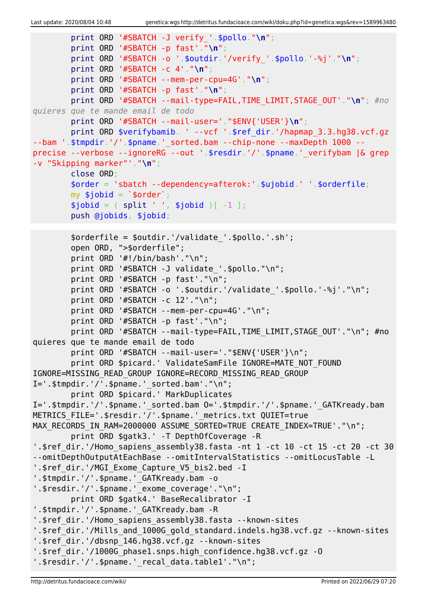```
 print ORD '#SBATCH -J verify_'.$pollo."\n";
         print ORD '#SBATCH -p fast'."\n";
         print ORD '#SBATCH -o '.$outdir.'/verify_'.$pollo.'-%j'."\n";
         print ORD '#SBATCH -c 4'."\n";
         print ORD '#SBATCH --mem-per-cpu=4G'."\n";
         print ORD '#SBATCH -p fast'."\n";
         print ORD '#SBATCH --mail-type=FAIL,TIME_LIMIT,STAGE_OUT'."\n"; #no
quieres que te mande email de todo
         print ORD '#SBATCH --mail-user='."$ENV{'USER'}\n";
        print ORD $verifybamib. ' --vcf '.$ref dir.'/hapmap 3.3.hg38.vcf.gz
--bam '.$tmpdir.'/'.$pname.'_sorted.bam --chip-none --maxDepth 1000 --
precise --verbose --ignoreRG --out '.$resdir.'/'.$pname.'_verifybam |& grep
-v "Skipping marker"'."\n";
         close ORD;
         $order = 'sbatch --dependency=afterok:'.$ujobid.' '.$orderfile;
        my $jobid = '$order';split ' ', $jobid )[-1 ]; push @jobids, $jobid;
         $orderfile = $outdir.'/validate_'.$pollo.'.sh';
         open ORD, ">$orderfile";
         print ORD '#!/bin/bash'."\n";
        print ORD '#SBATCH -J validate '.$pollo."\n";
         print ORD '#SBATCH -p fast'."\n";
         print ORD '#SBATCH -o '.$outdir.'/validate_'.$pollo.'-%j'."\n";
         print ORD '#SBATCH -c 12'."\n";
         print ORD '#SBATCH --mem-per-cpu=4G'."\n";
         print ORD '#SBATCH -p fast'."\n";
        print ORD '#SBATCH --mail-type=FAIL, TIME LIMIT, STAGE_OUT'."\n"; #no
quieres que te mande email de todo
        print ORD '#SBATCH --mail-user='."$ENV{'USER'}\n";
        print ORD $picard.' ValidateSamFile IGNORE=MATE NOT FOUND
IGNORE=MISSING_READ_GROUP IGNORE=RECORD_MISSING_READ_GROUP
I=' .$tmpdir.'/'.$pname.' sorted.bam'."\n" print ORD $picard.' MarkDuplicates
I='.$tmpdir.'/'.$pname.' sorted.bam 0='.$tmpdir.'/'.$pname.' GATKready.bam
METRICS FILE='.$resdir.'/'.$pname.' metrics.txt QUIET=true
MAX RECORDS IN RAM=2000000 ASSUME SORTED=TRUE CREATE INDEX=TRUE'."\n";
         print ORD $gatk3.' -T DepthOfCoverage -R
'.$ref dir.'/Homo sapiens_assembly38.fasta -nt 1 -ct 10 -ct 15 -ct 20 -ct 30
--omitDepthOutputAtEachBase --omitIntervalStatistics --omitLocusTable -L
'.$ref dir.'/MGI Exome Capture V5 bis2.bed -I
'.$tmpdir.'/'.$pname.'_GATKready.bam -o
'.$resdir.'/'.$pname.' exome coverage'."\n";
         print ORD $gatk4.' BaseRecalibrator -I
'.$tmpdir.'/'.$pname.' GATKready.bam -R
'.$ref dir.'/Homo sapiens assembly38.fasta --known-sites
'.$ref dir.'/Mills and 1000G gold standard.indels.hg38.vcf.gz --known-sites
'.$ref_dir.'/dbsnp_146.hg38.vcf.gz --known-sites
'.$ref_dir.'/1000G_phase1.snps.high_confidence.hg38.vcf.gz -O
'.$resdir.'/'.$pname.' recal data.table1'."\n";
```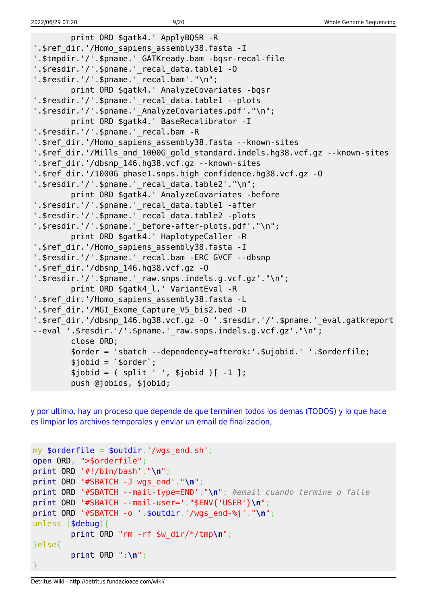```
 print ORD $gatk4.' ApplyBQSR -R
'.$ref dir.'/Homo sapiens assembly38.fasta -I
'.$tmpdir.'/'.$pname.' GATKready.bam -bqsr-recal-file
'.$resdir.'/'.$pname.' recal data.table1 -0
'.$resdir.'/'.$pname.'_recal.bam'."\n";
         print ORD $gatk4.' AnalyzeCovariates -bqsr
'.$resdir.'/'.$pname.'_recal_data.table1 --plots
'.$resdir.'/'.$pname.' AnalyzeCovariates.pdf'."\n";
         print ORD $gatk4.' BaseRecalibrator -I
'.$resdir.'/'.$pname.' recal.bam -R
'.$ref dir.'/Homo sapiens assembly38.fasta --known-sites
'.$ref dir.'/Mills and 1000G gold standard.indels.hg38.vcf.gz --known-sites
'.$ref_dir.'/dbsnp_146.hg38.vcf.gz --known-sites
'.$ref_dir.'/1000G_phase1.snps.high_confidence.hg38.vcf.gz -O
'.$resdir.'/'.$pname.' recal data.table2'."\n";
         print ORD $gatk4.' AnalyzeCovariates -before
'.$resdir.'/'.$pname.'_recal_data.table1 -after
'.$resdir.'/'.$pname.' recal data.table2 -plots
'.$resdir.'/'.$pname.' before-after-plots.pdf'."\n";
         print ORD $gatk4.' HaplotypeCaller -R
'.$ref dir.'/Homo sapiens assembly38.fasta -I
'.$resdir.'/'.$pname.'_recal.bam -ERC GVCF --dbsnp
'.$ref_dir.'/dbsnp_146.hg38.vcf.gz -O
'.$resdir.'/'.$pname.'_raw.snps.indels.g.vcf.gz'."\n";
         print ORD $gatk4_l.' VariantEval -R
'.$ref_dir.'/Homo_sapiens_assembly38.fasta -L
'.$ref_dir.'/MGI_Exome_Capture_V5_bis2.bed -D
'.$ref_dir.'/dbsnp_146.hg38.vcf.gz -O '.$resdir.'/'.$pname.'_eval.gatkreport
--eval '.$resdir.'/'.$pname.' raw.snps.indels.g.vcf.gz'."\n";
         close ORD;
         $order = 'sbatch --dependency=afterok:'.$ujobid.' '.$orderfile;
        $jobid = 'sorder';$jobid = ( split ' ', $jobid )[-1 ]; push @jobids, $jobid;
```
[y por ultimo, hay un proceso que depende de que terminen todos los demas \(TODOS\) y lo que hace](#page--1-0) [es limpiar los archivos temporales y enviar un email de finalizacion,](#page--1-0)

```
my $orderfile = $outdir.'/wqs end.sh';
open ORD, ">$orderfile";
print ORD '#!/bin/bash'."\n";
print ORD '#SBATCH -J wgs_end'."\n";
print ORD '#SBATCH --mail-type=END'."\n"; #email cuando termine o falle
print ORD '#SBATCH --mail-user='."$ENV{'USER'}\n";
print ORD '#SBATCH -o '.$outdir.'/wgs_end-%j'."\n";
unless ($debug){
         print ORD "rm -rf $w_dir/*/tmp\n";
}else{
         print ORD ":\n";
}
```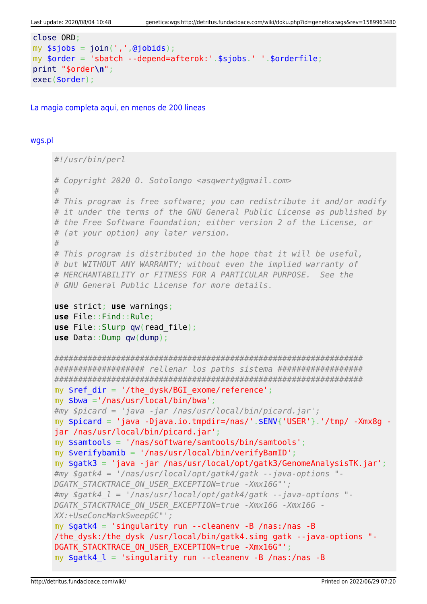```
close ORD:
my $sjobs = join(',',@jobids);
my $order = 'sbatch --depend=afterok:'.$sjobs.' '.$orderfile;
print "$order\n";
exec(<code>border)</code>;
```
La magia completa agui, en menos de 200 lineas

#### wgs.pl

```
#!/usr/bin/perl
# Copyright 2020 O. Sotolongo <asqwerty@gmail.com>
## This program is free software; you can redistribute it and/or modify
# it under the terms of the GNU General Public License as published by
# the Free Software Foundation; either version 2 of the License, or
# (at your option) any later version.
## This program is distributed in the hope that it will be useful,
# but WITHOUT ANY WARRANTY; without even the implied warranty of
# MERCHANTABILITY or FITNESS FOR A PARTICULAR PURPOSE. See the
# GNU General Public License for more details.
use strict; use warnings;
use File:: Find:: Rule;
use File::Slurp qw(read file);use Data::Dump qw(dump);
################### rellenar los paths sistema ###################
mv $ref dir = '/the dvsk/BGI exome/reference':
my $bwa ='/nas/usr/local/bin/bwa';
#my $picard = 'java -jar /nas/usr/local/bin/picard.jar';
my $picard = 'java -Djava.io.tmpdir=/nas/'.$ENV{'USER'}.'/tmp/ -Xmx8q -
jar /nas/usr/local/bin/picard.jar';
my $samtools = '/nas/software/samtools/bin/samtools';
my $verifybamib = '/nas/usr/local/bin/verifyBamID';
my $gatk3 = 'java -jar /nas/usr/local/opt/gatk3/GenomeAnalysisTK.jar';#my $gatk4 = '/nas/usr/local/opt/gatk4/gatk --java-options "-
DGATK STACKTRACE ON USER EXCEPTION=true -Xmx16G"';
\#my $gatk4 l = '/nas/usr/local/opt/gatk4/gatk --java-options "-
DGATK STACKTRACE ON USER EXCEPTION=true -Xmx16G -Xmx16G -
XX:+UseConcMarkSweepGC"';
my $gatk4 = 'singularity run --cleanenv -B /nas:/nas -B/the dysk:/the dysk /usr/local/bin/gatk4.simg gatk --java-options "-
DGATK STACKTRACE ON USER EXCEPTION=true -Xmx16G"';
my $gatk4 \, l = 'singularity run --cleanenv -B /nas:/nas -B
```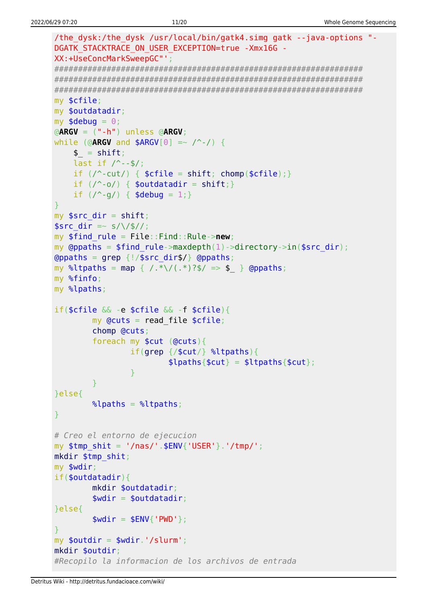```
/the dysk:/the dysk /usr/local/bin/gatk4.simg gatk --java-options "-
DGATK STACKTRACE ON USER EXCEPTION=true -Xmx16G -
XX:+UseConcMarkSweepGC"';
my $cfile;
my $outdatadir;
my $debug = 0;\triangleARGV = (" - h") unless \triangleARGV;
while (@ARGV and $ARGV[0] =~ \wedge -/) {
   $ = shift;last if / --$/;
   if (\wedge-cut/) { \text{scfile} = \text{shift}; chomp(\text{scfile}); }
   if (\wedge \neg o) { $outdatadir = shift; }
   if (\frac{9}{9}) { $debug = 1; }
my $src dir = shift;
$src dir = \sim s/\/$//;
my $find rule = File::Find::Rule->new;my @ppaths = $find rule->maxdepth(1)->directory->in($src dir);
\Thetappaths = grep {!/$src_dir$/} \Thetappaths;
my %ltpaths = map { /.*\/(.*)?$/ => $ } @ppaths;
my %finfo;
my %lpaths;
if(\frac{2}{3}cfile \& -e \frac{2}{3}cfile \& -f \frac{2}{3}cfile)my Qcuts = read file $cfile;chomp @cuts;
       foreach my $cut (@cuts){
               if(qrep / $cut/} %ltpaths){
                       \{[paths{$cut} = $ltpaths{$cut};
               \mathcal{E}}else{
       \lambdalpaths = \lambdaltpaths;
# Creo el entorno de ejecucion
my $tmp shift = '/nas/'.$ENV{''USER'}'.'tmp/';mkdir $tmp shit;
my $wdir;
if(<b>soundatadir</b>)mkdir $outdatadir;
       $width = 5outdatadir;}else{
       $width = $ENV{'}}' PWD'};my $outdir = $wdir.'/slurm';
mkdir $outdir:
#Recopilo la informacion de los archivos de entrada
```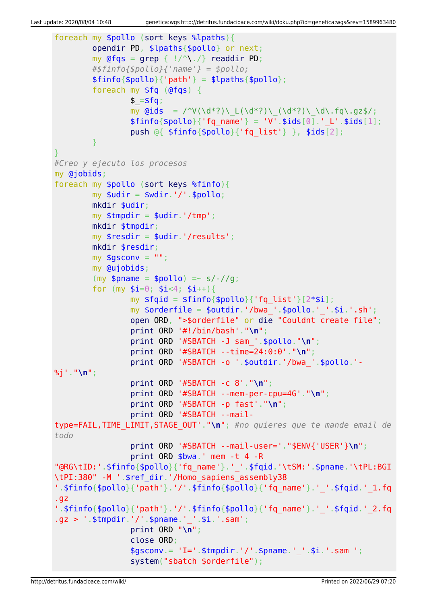```
foreach my $pollo (sort keys %lpaths){
          opendir PD, $lpaths{$pollo} or next;
         my @fqs = qrep { |}/^{\wedge}readdir PD;
          #$finfo{$pollo}{'name'} = $pollo;
         $finfo{$pollo}{'parh'} = $lpaths{$pollo}; foreach my $fq (@fqs) {
                  $ = $fg;my \ddot{\text{Gids}} = \frac{\text{V}(\ddot{\text{d}}^*)\left(\frac{d^*}{\text{d}}\right)\left(\frac{d^*}{\text{d}}\right)\left(\frac{d^*}{\text{d}}\right)}{\text{d}^*}$finfo{$pollo}{'rq name'} = 'V'.$ids[0].' L'.$ids[1]; push @{ $finfo{$pollo}{'fq_list'} }, $ids[2];
 }
}
#Creo y ejecuto los procesos
my @jobids;
foreach my $pollo (sort keys %finfo){
         mv $udir = $wdir.'/'.$pollo:
          mkdir $udir;
         my $tmpdir = $udir.'/tmp'; mkdir $tmpdir;
          my $resdir = $udir.'/results';
          mkdir $resdir;
         my $gsconv = " ";
          my @ujobids;
         (my $pname = $pollo) =~ s/-//g;
         for (my \text{Si}=0; \text{Si} < 4; \text{Si}++){
                  my $fqid = $finfo{$pollo}{'fg list'}[2*$i];my \text{porderfile} = \text{poutdir.}'/\text{bwa}. \text{pollo.}''.'.\text{si.}'.s\text{h'};
                   open ORD, ">$orderfile" or die "Couldnt create file";
                   print ORD '#!/bin/bash'."\n";
                   print ORD '#SBATCH -J sam_'.$pollo."\n";
                   print ORD '#SBATCH --time=24:0:0'."\n";
                   print ORD '#SBATCH -o '.$outdir.'/bwa_'.$pollo.'-
%j'."\n";
                   print ORD '#SBATCH -c 8'."\n";
                   print ORD '#SBATCH --mem-per-cpu=4G'."\n";
                   print ORD '#SBATCH -p fast'."\n";
                   print ORD '#SBATCH --mail-
type=FAIL,TIME_LIMIT,STAGE_OUT'."\n"; #no quieres que te mande email de
todo
                   print ORD '#SBATCH --mail-user='."$ENV{'USER'}\n";
                   print ORD $bwa.' mem -t 4 -R
"@RG\tID:'.$finfo{$pollo}{'fq_name'}.'_'.$fqid.'\tSM:'.$pname.'\tPL:BGI
\tPI:380" -M '.$ref_dir.'/Homo_sapiens_assembly38
'.$finfo{$pollo}{'path'}.'/'.$finfo{$pollo}{'fq_name'}.'_'.$fqid.'_1.fq
.gz
'.$finfo{$pollo}{'path'}.'/'.$finfo{$pollo}{'fq_name'}.'_'.$fqid.'_2.fq
.gz > '.$tmpdir.'/'.$pname.'_'.$i.'.sam';
                   print ORD "\n";
                   close ORD;
                  $gsconv = 'I='. $tmodir.'/'.$pname.''.§i.'.sam '; system("sbatch $orderfile");
```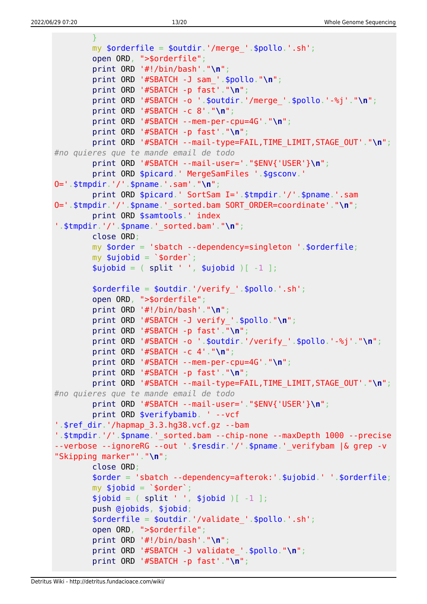```
 }
         my $orderfile = $outdir.'/merge_'.$pollo.'.sh';
         open ORD, ">$orderfile";
         print ORD '#!/bin/bash'."\n";
         print ORD '#SBATCH -J sam_'.$pollo."\n";
         print ORD '#SBATCH -p fast'."\n";
         print ORD '#SBATCH -o '.$outdir.'/merge_'.$pollo.'-%j'."\n";
         print ORD '#SBATCH -c 8'."\n";
         print ORD '#SBATCH --mem-per-cpu=4G'."\n";
         print ORD '#SBATCH -p fast'."\n";
         print ORD '#SBATCH --mail-type=FAIL,TIME_LIMIT,STAGE_OUT'."\n";
#no quieres que te mande email de todo
         print ORD '#SBATCH --mail-user='."$ENV{'USER'}\n";
         print ORD $picard.' MergeSamFiles '.$gsconv.'
O='.$tmpdir.'/'.$pname.'.sam'."\n";
         print ORD $picard.' SortSam I='.$tmpdir.'/'.$pname.'.sam
O='.$tmpdir.'/'.$pname.'_sorted.bam SORT_ORDER=coordinate'."\n";
         print ORD $samtools.' index
'.$tmpdir.'/'.$pname.'_sorted.bam'."\n";
         close ORD;
         my $order = 'sbatch --dependency=singleton '.$orderfile;
        my $ujobid = `$order';split ' ', $ujobid )[-1 ]; $orderfile = $outdir.'/verify_'.$pollo.'.sh';
         open ORD, ">$orderfile";
         print ORD '#!/bin/bash'."\n";
         print ORD '#SBATCH -J verify_'.$pollo."\n";
         print ORD '#SBATCH -p fast'."\n";
         print ORD '#SBATCH -o '.$outdir.'/verify_'.$pollo.'-%j'."\n";
         print ORD '#SBATCH -c 4'."\n";
         print ORD '#SBATCH --mem-per-cpu=4G'."\n";
         print ORD '#SBATCH -p fast'."\n";
         print ORD '#SBATCH --mail-type=FAIL,TIME_LIMIT,STAGE_OUT'."\n";
#no quieres que te mande email de todo
         print ORD '#SBATCH --mail-user='."$ENV{'USER'}\n";
         print ORD $verifybamib. ' --vcf
'.$ref_dir.'/hapmap_3.3.hg38.vcf.gz --bam
'.$tmpdir.'/'.$pname.' sorted.bam --chip-none --maxDepth 1000 --precise
--verbose --ignoreRG --out '.$resdir.'/'.$pname.' verifybam |& grep -v
"Skipping marker"'."\n";
         close ORD;
         $order = 'sbatch --dependency=afterok:'.$ujobid.' '.$orderfile;
        my $jobid = `$order';split ' ', $jobid )[-1 ]; push @jobids, $jobid;
         $orderfile = $outdir.'/validate_'.$pollo.'.sh';
         open ORD, ">$orderfile";
         print ORD '#!/bin/bash'."\n";
         print ORD '#SBATCH -J validate_'.$pollo."\n";
         print ORD '#SBATCH -p fast'."\n";
```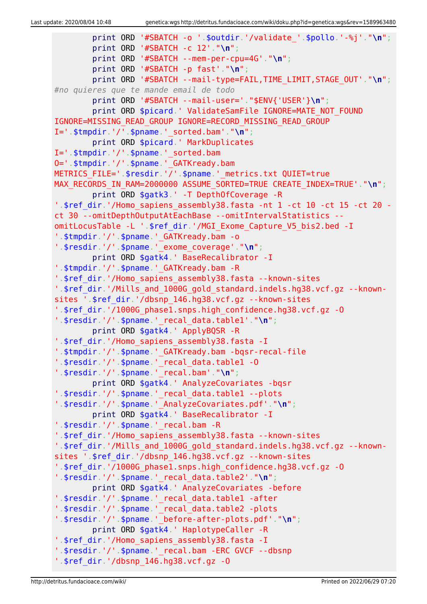```
 print ORD '#SBATCH -o '.$outdir.'/validate_'.$pollo.'-%j'."\n";
         print ORD '#SBATCH -c 12'."\n";
         print ORD '#SBATCH --mem-per-cpu=4G'."\n";
         print ORD '#SBATCH -p fast'."\n";
         print ORD '#SBATCH --mail-type=FAIL,TIME_LIMIT,STAGE_OUT'."\n";
#no quieres que te mande email de todo
         print ORD '#SBATCH --mail-user='."$ENV{'USER'}\n";
        print ORD $picard.' ValidateSamFile IGNORE=MATE NOT FOUND
IGNORE=MISSING_READ_GROUP IGNORE=RECORD_MISSING_READ_GROUP
I='.$tmpdir.'/'.$pname.'_sorted.bam'."\n";
         print ORD $picard.' MarkDuplicates
I='.$tmpdir.'/'.$pname.' sorted.bam
O='.$tmpdir.'/'.$pname.'_GATKready.bam
METRICS_FILE='.$resdir.'/'.$pname.'_metrics.txt QUIET=true
MAX RECORDS IN RAM=2000000 ASSUME SORTED=TRUE CREATE INDEX=TRUE'."\n";
         print ORD $gatk3.' -T DepthOfCoverage -R
'.$ref dir.'/Homo sapiens assembly38.fasta -nt 1 -ct 10 -ct 15 -ct 20 -
ct 30 --omitDepthOutputAtEachBase --omitIntervalStatistics --
omitLocusTable -L '.$ref_dir.'/MGI_Exome_Capture_V5_bis2.bed -I
'.$tmpdir.'/'.$pname.'_GATKready.bam -o
'.$resdir.'/'.$pname.'_exome_coverage'."\n";
         print ORD $gatk4.' BaseRecalibrator -I
'.$tmpdir.'/'.$pname.' GATKready.bam -R
'.$ref dir.'/Homo sapiens assembly38.fasta --known-sites
'.$ref_dir.'/Mills_and_1000G_gold_standard.indels.hg38.vcf.gz --known-
sites '.$ref_dir.'/dbsnp_146.hg38.vcf.gz --known-sites
'.$ref_dir.'/1000G_phase1.snps.high_confidence.hg38.vcf.gz -O
'.$resdir.'/'.$pname.'_recal_data.table1'."\n";
         print ORD $gatk4.' ApplyBQSR -R
'.$ref_dir.'/Homo_sapiens_assembly38.fasta -I
'.$tmpdir.'/'.$pname.'_GATKready.bam -bqsr-recal-file
'.$resdir.'/'.$pname.'_recal_data.table1 -O
'.$resdir.'/'.$pname.'_recal.bam'."\n";
         print ORD $gatk4.' AnalyzeCovariates -bqsr
'.$resdir.'/'.$pname.'_recal_data.table1 --plots
'.$resdir.'/'.$pname.'_AnalyzeCovariates.pdf'."\n";
         print ORD $gatk4.' BaseRecalibrator -I
'.$resdir.'/'.$pname.'_recal.bam -R
'.$ref_dir.'/Homo_sapiens_assembly38.fasta --known-sites
'.$ref_dir.'/Mills_and_1000G_gold_standard.indels.hg38.vcf.gz --known-
sites '.$ref_dir.'/dbsnp_146.hg38.vcf.gz --known-sites
'.$ref_dir.'/1000G_phase1.snps.high_confidence.hg38.vcf.gz -O
'.$resdir.'/'.$pname.'_recal_data.table2'."\n";
         print ORD $gatk4.' AnalyzeCovariates -before
'.$resdir.'/'.$pname.'_recal_data.table1 -after
'.$resdir.'/'.$pname.'_recal_data.table2 -plots
'.$resdir.'/'.$pname.'_before-after-plots.pdf'."\n";
         print ORD $gatk4.' HaplotypeCaller -R
'.$ref dir.'/Homo sapiens assembly38.fasta -I
'.$resdir.'/'.$pname.'_recal.bam -ERC GVCF --dbsnp
'.$ref_dir.'/dbsnp_146.hg38.vcf.gz -O
```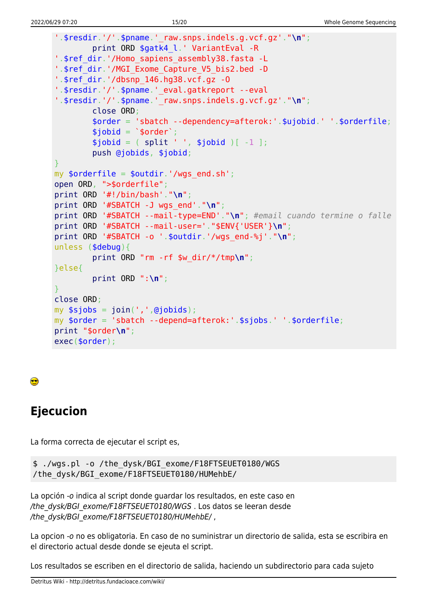```
'.$resdir.'/'.$pname.' raw.snps.index.org.vcf.g.'."\\n'';print ORD $gatk4_l.' VariantEval -R
'.$ref dir.'/Homo sapiens assembly38.fasta -L
'.$ref dir.'/MGI Exome Capture V5 bis2.bed -D
'.$ref_dir.'/dbsnp_146.hg38.vcf.gz -0
'.$resdir.'/'.$pname.' eval.gatkreport --eval
'.$resdir.'/'.$pname.'_raw.snps.indels.g.vcf.gz'."\n";
        close ORD;
        \$order = 'sbatch -- dependency=afterok:'.$ujobid.''.sorderfile;$jobid = 'border';$jobid = ( split ' ', $jobid )[-1 ];push @jobids, $jobid;
my $orderfile = $outdir.'/wqs end.sh';
open ORD, ">$orderfile";
print ORD '#!/bin/bash'."\n";
print ORD '#SBATCH -J wgs_end'."\n";
print ORD '#SBATCH --mail-type=END'."\n"; #email cuando termine o falle
print ORD '#SBATCH --mail-user='."$ENV{'USER'}\n";
print ORD '#SBATCH -o '.$outdir.'/wgs_end-%j'."\n";
unless (\text{debug})print ORD "rm - rf $w-dir/*/tmp\n";
}else{
        print ORD ":\n\cdot\mathbb{R}";
close ORD;
my $sjobs = join(','',@jobids);my $order = 'sbatch --depend=afterok:'.$sjobs.' '.$orderfile;
print "$order\n";
exec($order);
```
### ●

# **Ejecucion**

La forma correcta de ejecutar el script es,

```
$ ./wqs.pl -o /the dysk/BGI exome/F18FTSEUET0180/WGS
/the dysk/BGI exome/F18FTSEUET0180/HUMehbE/
```
La opción -o indica al script donde guardar los resultados, en este caso en /the dysk/BGI exome/F18FTSEUET0180/WGS. Los datos se leeran desde /the dysk/BGI exome/F18FTSEUET0180/HUMehbE/,

La opcion -o no es obligatoria. En caso de no suministrar un directorio de salida, esta se escribira en el directorio actual desde donde se ejeuta el script.

Los resultados se escriben en el directorio de salida, haciendo un subdirectorio para cada sujeto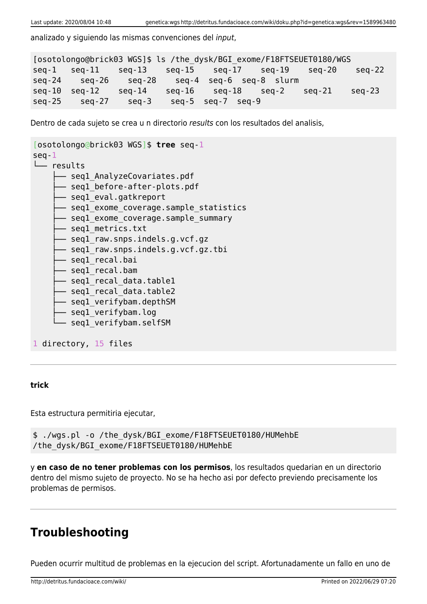analizado y siguiendo las mismas convenciones del input,

```
[osotolongo@brick03 WGS]$ ls /the_dysk/BGI_exome/F18FTSEUET0180/WGS
seq-1 seq-11 seq-13 seq-15 seq-17 seq-19 seq-20 seq-22
seq-24 seq-26 seq-28 seq-4 seq-6 seq-8 slurm
seq-10 seq-12 seq-14 seq-16 seq-18 seq-2 seq-21 seq-23
seq-25 seq-27 seq-3 seq-5 seq-7 seq-9
```
Dentro de cada sujeto se crea u n directorio results con los resultados del analisis,

```
[osotolongo@brick03 WGS]$ tree seq-1
seq-1
└── results
      - seql_AnalyzeCovariates.pdf
       - segl before-after-plots.pdf
       - seql eval.gatkreport
       - seql exome coverage.sample statistics
       - segl exome coverage.sample summary
        ├── seq1_metrics.txt
       - seql raw.snps.indels.g.vcf.gz
       - segl raw.snps.indels.g.vcf.gz.tbi
        ├── seq1_recal.bai
       - seql recal.bam
       - seql recal data.table1
        ├── seq1_recal_data.table2
       - seql verifybam.depthSM
       - seql verifybam.log
       - seql verifybam.selfSM
1 directory, 15 files
```
#### **trick**

Esta estructura permitiria ejecutar,

```
$ ./wgs.pl -o /the_dysk/BGI_exome/F18FTSEUET0180/HUMehbE
/the_dysk/BGI_exome/F18FTSEUET0180/HUMehbE
```
y **en caso de no tener problemas con los permisos**, los resultados quedarian en un directorio dentro del mismo sujeto de proyecto. No se ha hecho asi por defecto previendo precisamente los problemas de permisos.

### **Troubleshooting**

Pueden ocurrir multitud de problemas en la ejecucion del script. Afortunadamente un fallo en uno de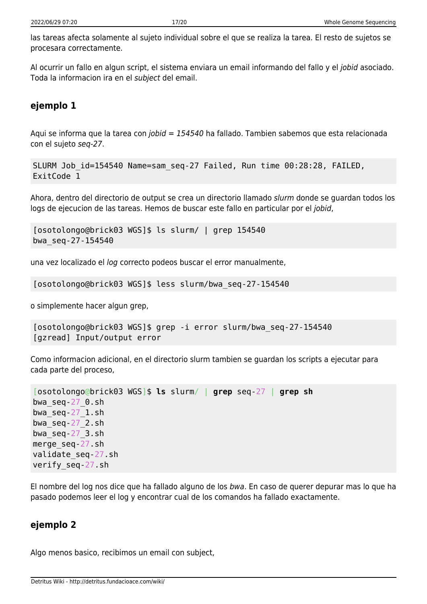las tareas afecta solamente al sujeto individual sobre el que se realiza la tarea. El resto de sujetos se procesara correctamente.

Al ocurrir un fallo en algun script, el sistema enviara un email informando del fallo y el jobid asociado. Toda la informacion ira en el subject del email.

### **ejemplo 1**

Aqui se informa que la tarea con *jobid = 154540* ha fallado. Tambien sabemos que esta relacionada con el sujeto seq-27.

```
SLURM Job_id=154540 Name=sam_seq-27 Failed, Run time 00:28:28, FAILED,
ExitCode 1
```
Ahora, dentro del directorio de output se crea un directorio llamado slurm donde se guardan todos los logs de ejecucion de las tareas. Hemos de buscar este fallo en particular por el jobid,

```
[osotolongo@brick03 WGS]$ ls slurm/ | grep 154540
bwa_seq-27-154540
```
una vez localizado el log correcto podeos buscar el error manualmente,

[osotolongo@brick03 WGS]\$ less slurm/bwa\_seq-27-154540

o simplemente hacer algun grep,

```
[osotolongo@brick03 WGS]$ grep -i error slurm/bwa_seq-27-154540
[gzread] Input/output error
```
Como informacion adicional, en el directorio slurm tambien se guardan los scripts a ejecutar para cada parte del proceso,

```
[osotolongo@brick03 WGS]$ ls slurm/ | grep seq-27 | grep sh
bwa_seq-27_0.sh
bwa_seq-27_1.sh
bwaseq-27 2.sh
bwa_seq-27_3.sh
merge_seq-27.sh
validate_seq-27.sh
verify_seq-27.sh
```
El nombre del log nos dice que ha fallado alguno de los bwa. En caso de querer depurar mas lo que ha pasado podemos leer el log y encontrar cual de los comandos ha fallado exactamente.

### **ejemplo 2**

Algo menos basico, recibimos un email con subject,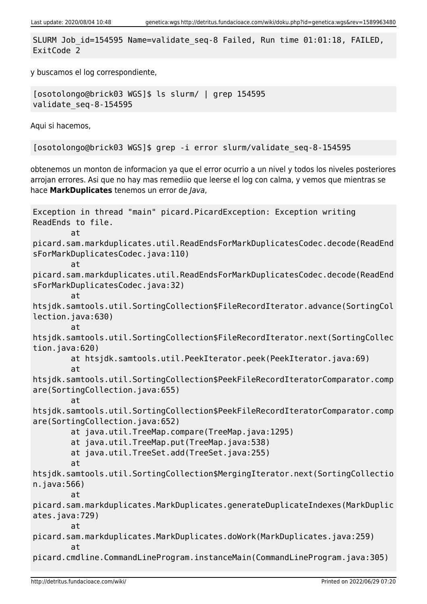SLURM Job\_id=154595 Name=validate\_seq-8 Failed, Run time 01:01:18, FAILED, ExitCode 2

y buscamos el log correspondiente,

[osotolongo@brick03 WGS]\$ ls slurm/ | grep 154595 validate\_seq-8-154595

Aqui si hacemos,

[osotolongo@brick03 WGS]\$ grep -i error slurm/validate\_seq-8-154595

obtenemos un monton de informacion ya que el error ocurrio a un nivel y todos los niveles posteriores arrojan errores. Asi que no hay mas remediio que leerse el log con calma, y vemos que mientras se hace **MarkDuplicates** tenemos un error de Java,

```
Exception in thread "main" picard.PicardException: Exception writing
ReadEnds to file.
         at
picard.sam.markduplicates.util.ReadEndsForMarkDuplicatesCodec.decode(ReadEnd
sForMarkDuplicatesCodec.java:110)
         at
picard.sam.markduplicates.util.ReadEndsForMarkDuplicatesCodec.decode(ReadEnd
sForMarkDuplicatesCodec.java:32)
         at
htsjdk.samtools.util.SortingCollection$FileRecordIterator.advance(SortingCol
lection.java:630)
         at
htsjdk.samtools.util.SortingCollection$FileRecordIterator.next(SortingCollec
tion.java:620)
         at htsjdk.samtools.util.PeekIterator.peek(PeekIterator.java:69)
         at
htsjdk.samtools.util.SortingCollection$PeekFileRecordIteratorComparator.comp
are(SortingCollection.java:655)
         at
htsjdk.samtools.util.SortingCollection$PeekFileRecordIteratorComparator.comp
are(SortingCollection.java:652)
         at java.util.TreeMap.compare(TreeMap.java:1295)
         at java.util.TreeMap.put(TreeMap.java:538)
         at java.util.TreeSet.add(TreeSet.java:255)
         at
htsjdk.samtools.util.SortingCollection$MergingIterator.next(SortingCollectio
n.java:566)
at at a t
picard.sam.markduplicates.MarkDuplicates.generateDuplicateIndexes(MarkDuplic
ates.java:729)
         at
picard.sam.markduplicates.MarkDuplicates.doWork(MarkDuplicates.java:259)
         at
picard.cmdline.CommandLineProgram.instanceMain(CommandLineProgram.java:305)
```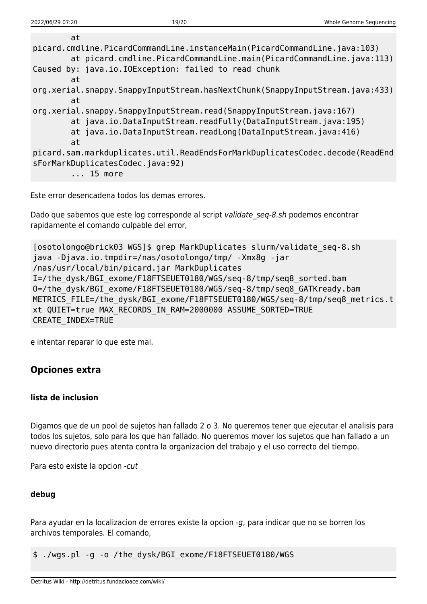Este error desencadena todos los demas errores.

Dado que sabemos que este log corresponde al script validate seq-8.sh podemos encontrar rapidamente el comando culpable del error,

```
[osotolongo@brick03 WGS]$ grep MarkDuplicates slurm/validate_seq-8.sh
java -Djava.io.tmpdir=/nas/osotolongo/tmp/ -Xmx8g -jar
/nas/usr/local/bin/picard.jar MarkDuplicates
I=/the_dysk/BGI_exome/F18FTSEUET0180/WGS/seq-8/tmp/seq8_sorted.bam
O=/the_dysk/BGI_exome/F18FTSEUET0180/WGS/seq-8/tmp/seq8_GATKready.bam
METRICS FILE=/the dysk/BGI exome/F18FTSEUET0180/WGS/seq-8/tmp/seq8 metrics.t
xt QUIET=true MAX_RECORDS_IN_RAM=2000000 ASSUME_SORTED=TRUE
CREATE_INDEX=TRUE
```
e intentar reparar lo que este mal.

### **Opciones extra**

#### **lista de inclusion**

Digamos que de un pool de sujetos han fallado 2 o 3. No queremos tener que ejecutar el analisis para todos los sujetos, solo para los que han fallado. No queremos mover los sujetos que han fallado a un nuevo directorio pues atenta contra la organizacion del trabajo y el uso correcto del tiempo.

Para esto existe la opcion -cut

#### **debug**

Para ayudar en la localizacion de errores existe la opcion -g, para indicar que no se borren los archivos temporales. El comando,

\$ ./wgs.pl -g -o /the\_dysk/BGI\_exome/F18FTSEUET0180/WGS